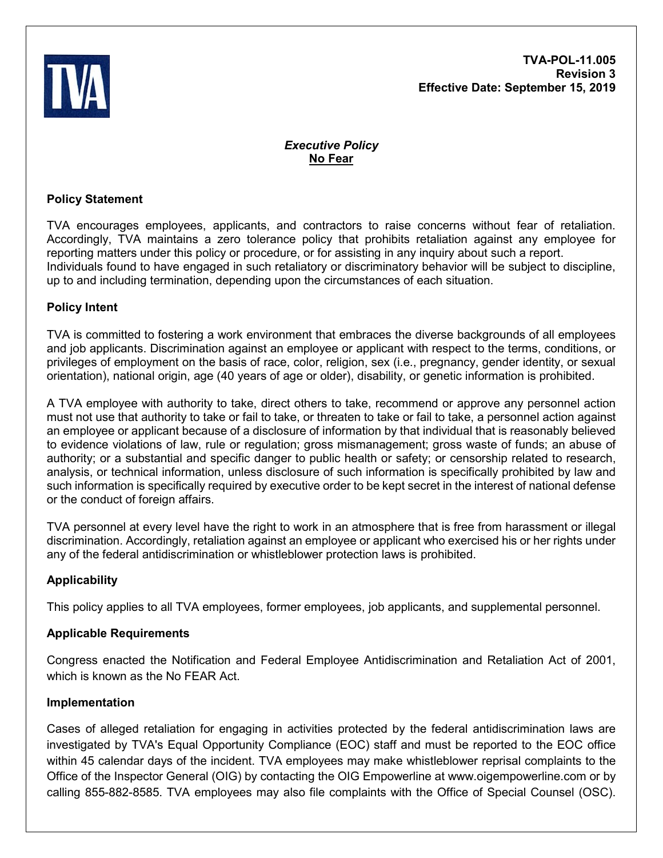

# *Executive Policy* **No Fear**

## **Policy Statement**

TVA encourages employees, applicants, and contractors to raise concerns without fear of retaliation. Accordingly, TVA maintains a zero tolerance policy that prohibits retaliation against any employee for reporting matters under this policy or procedure, or for assisting in any inquiry about such a report. Individuals found to have engaged in such retaliatory or discriminatory behavior will be subject to discipline, up to and including termination, depending upon the circumstances of each situation.

## **Policy Intent**

TVA is committed to fostering a work environment that embraces the diverse backgrounds of all employees and job applicants. Discrimination against an employee or applicant with respect to the terms, conditions, or privileges of employment on the basis of race, color, religion, sex (i.e., pregnancy, gender identity, or sexual orientation), national origin, age (40 years of age or older), disability, or genetic information is prohibited.

A TVA employee with authority to take, direct others to take, recommend or approve any personnel action must not use that authority to take or fail to take, or threaten to take or fail to take, a personnel action against an employee or applicant because of a disclosure of information by that individual that is reasonably believed to evidence violations of law, rule or regulation; gross mismanagement; gross waste of funds; an abuse of authority; or a substantial and specific danger to public health or safety; or censorship related to research, analysis, or technical information, unless disclosure of such information is specifically prohibited by law and such information is specifically required by executive order to be kept secret in the interest of national defense or the conduct of foreign affairs.

TVA personnel at every level have the right to work in an atmosphere that is free from harassment or illegal discrimination. Accordingly, retaliation against an employee or applicant who exercised his or her rights under any of the federal antidiscrimination or whistleblower protection laws is prohibited.

# **Applicability**

This policy applies to all TVA employees, former employees, job applicants, and supplemental personnel.

### **Applicable Requirements**

Congress enacted the Notification and Federal Employee Antidiscrimination and Retaliation Act of 2001, which is known as the No FEAR Act.

### **Implementation**

Cases of alleged retaliation for engaging in activities protected by the federal antidiscrimination laws are investigated by TVA's Equal Opportunity Compliance (EOC) staff and must be reported to the EOC office within 45 calendar days of the incident. TVA employees may make whistleblower reprisal complaints to the Office of the Inspector General (OIG) by contacting the OIG Empowerline at www.oigempowerline.com or by calling 855-882-8585. TVA employees may also file complaints with the Office of Special Counsel (OSC).